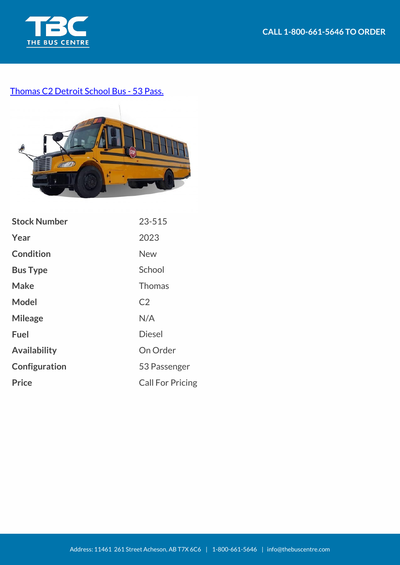

## [Thomas C2 Detroit School Bus - 53 Pass.](https://thebuscentre.com/buses/23-515-thomas-c2-detroit-school-bus/)



| <b>Stock Number</b> | 23-515                  |
|---------------------|-------------------------|
| Year                | 2023                    |
| <b>Condition</b>    | <b>New</b>              |
| <b>Bus Type</b>     | School                  |
| Make                | <b>Thomas</b>           |
| <b>Model</b>        | C <sub>2</sub>          |
| <b>Mileage</b>      | N/A                     |
| <b>Fuel</b>         | <b>Diesel</b>           |
| <b>Availability</b> | On Order                |
| Configuration       | 53 Passenger            |
| <b>Price</b>        | <b>Call For Pricing</b> |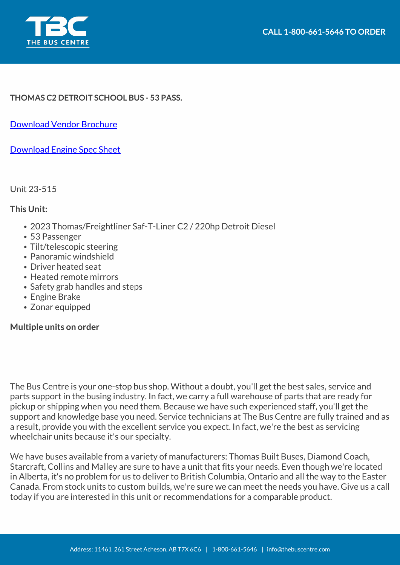

## **THOMAS C2 DETROIT SCHOOL BUS - 53 PASS.**

[Download Vendor Brochure](https://thebuscentre.com/wp-content/uploads/Brochures/Thomas/specsheet-c2-school-canada-winter-2017.pdf)

[Download Engine Spec Sheet](https://thebuscentre.com/wp-content/uploads/Brochures/Thomas/specsheet-detroit-dd5-summer-2019.pdf)

Unit 23-515

## **This Unit:**

- 2023 Thomas/Freightliner Saf-T-Liner C2 / 220hp Detroit Diesel
- 53 Passenger
- Tilt/telescopic steering
- Panoramic windshield
- Driver heated seat
- Heated remote mirrors
- Safety grab handles and steps
- Engine Brake
- Zonar equipped

## **Multiple units on order**

The Bus Centre is your one-stop bus shop. Without a doubt, you'll get the best sales, service and parts support in the busing industry. In fact, we carry a full warehouse of parts that are ready for pickup or shipping when you need them. Because we have such experienced staff, you'll get the support and knowledge base you need. Service technicians at The Bus Centre are fully trained and as a result, provide you with the excellent service you expect. In fact, we're the best as servicing wheelchair units because it's our specialty.

We have buses available from a variety of manufacturers: Thomas Built Buses, Diamond Coach, Starcraft, Collins and Malley are sure to have a unit that fits your needs. Even though we're located in Alberta, it's no problem for us to deliver to British Columbia, Ontario and all the way to the Easter Canada. From stock units to custom builds, we're sure we can meet the needs you have. Give us a call today if you are interested in this unit or recommendations for a comparable product.